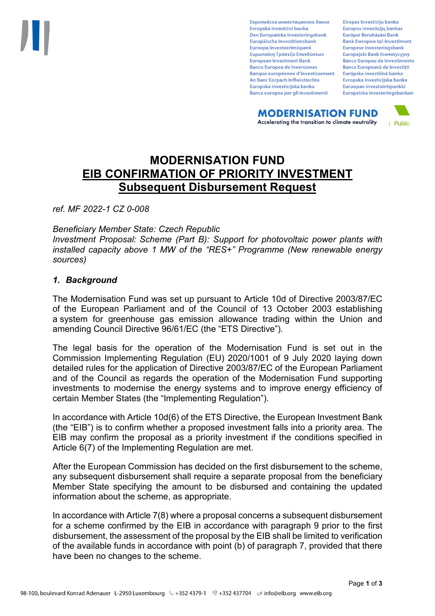Европейска инвестиционна банка Evropská investiční banka Den Europæiske Investeringsbank Europäische Investitionsbank Euroopa Investeerimispank Ευρωπαϊκή Τράπεζα Επενδύσεων **European Investment Bank Banco Europeo de Inversiones Banque européenne d'investissement** An Banc Eorpach Infheistíochta Europska investicijska banka Banca europea per gli investimenti

Eiropas Investīciju banka Europos investicijų bankas Európai Beruházási Bank **Bank Ewropew tal-Investiment** Europese Investeringsbank **Europeiski Bank Inwestycviny Banco Europeu de Investimento Banca Europeană de Investiții** Európska investičná banka Evropska investicijska banka Euroopan investointipankki Europeiska investeringsbanken

**MODERNISATION FUND** Accelerating the transition to climate neutrality



# **MODERNISATION FUND EIB CONFIRMATION OF PRIORITY INVESTMENT Subsequent Disbursement Request**

*ref. MF 2022-1 CZ 0-008*

*Beneficiary Member State: Czech Republic*

*Investment Proposal: Scheme (Part B): Support for photovoltaic power plants with installed capacity above 1 MW of the "RES+" Programme (New renewable energy sources)*

## *1. Background*

The Modernisation Fund was set up pursuant to Article 10d of Directive 2003/87/EC of the European Parliament and of the Council of 13 October 2003 establishing a system for greenhouse gas emission allowance trading within the Union and amending Council Directive 96/61/EC (the "ETS Directive").

The legal basis for the operation of the Modernisation Fund is set out in the Commission Implementing Regulation (EU) 2020/1001 of 9 July 2020 laying down detailed rules for the application of Directive 2003/87/EC of the European Parliament and of the Council as regards the operation of the Modernisation Fund supporting investments to modernise the energy systems and to improve energy efficiency of certain Member States (the "Implementing Regulation").

In accordance with Article 10d(6) of the ETS Directive, the European Investment Bank (the "EIB") is to confirm whether a proposed investment falls into a priority area. The EIB may confirm the proposal as a priority investment if the conditions specified in Article 6(7) of the Implementing Regulation are met.

After the European Commission has decided on the first disbursement to the scheme, any subsequent disbursement shall require a separate proposal from the beneficiary Member State specifying the amount to be disbursed and containing the updated information about the scheme, as appropriate.

In accordance with Article 7(8) where a proposal concerns a subsequent disbursement for a scheme confirmed by the EIB in accordance with paragraph 9 prior to the first disbursement, the assessment of the proposal by the EIB shall be limited to verification of the available funds in accordance with point (b) of paragraph 7, provided that there have been no changes to the scheme.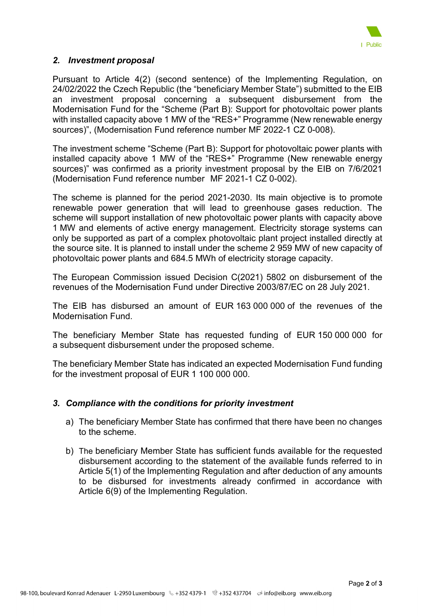

## *2. Investment proposal*

Pursuant to Article 4(2) (second sentence) of the Implementing Regulation, on 24/02/2022 the Czech Republic (the "beneficiary Member State") submitted to the EIB an investment proposal concerning a subsequent disbursement from the Modernisation Fund for the "Scheme (Part B): Support for photovoltaic power plants with installed capacity above 1 MW of the "RES+" Programme (New renewable energy sources)", (Modernisation Fund reference number MF 2022-1 CZ 0-008).

The investment scheme "Scheme (Part B): Support for photovoltaic power plants with installed capacity above 1 MW of the "RES+" Programme (New renewable energy sources)" was confirmed as a priority investment proposal by the EIB on 7/6/2021 (Modernisation Fund reference number MF 2021-1 CZ 0-002).

The scheme is planned for the period 2021-2030. Its main objective is to promote renewable power generation that will lead to greenhouse gases reduction. The scheme will support installation of new photovoltaic power plants with capacity above 1 MW and elements of active energy management. Electricity storage systems can only be supported as part of a complex photovoltaic plant project installed directly at the source site. It is planned to install under the scheme 2 959 MW of new capacity of photovoltaic power plants and 684.5 MWh of electricity storage capacity.

The European Commission issued Decision C(2021) 5802 on disbursement of the revenues of the Modernisation Fund under Directive 2003/87/EC on 28 July 2021.

The EIB has disbursed an amount of EUR 163 000 000 of the revenues of the Modernisation Fund.

The beneficiary Member State has requested funding of EUR 150 000 000 for a subsequent disbursement under the proposed scheme.

The beneficiary Member State has indicated an expected Modernisation Fund funding for the investment proposal of EUR 1 100 000 000.

## *3. Compliance with the conditions for priority investment*

- a) The beneficiary Member State has confirmed that there have been no changes to the scheme.
- b) The beneficiary Member State has sufficient funds available for the requested disbursement according to the statement of the available funds referred to in Article 5(1) of the Implementing Regulation and after deduction of any amounts to be disbursed for investments already confirmed in accordance with Article 6(9) of the Implementing Regulation.